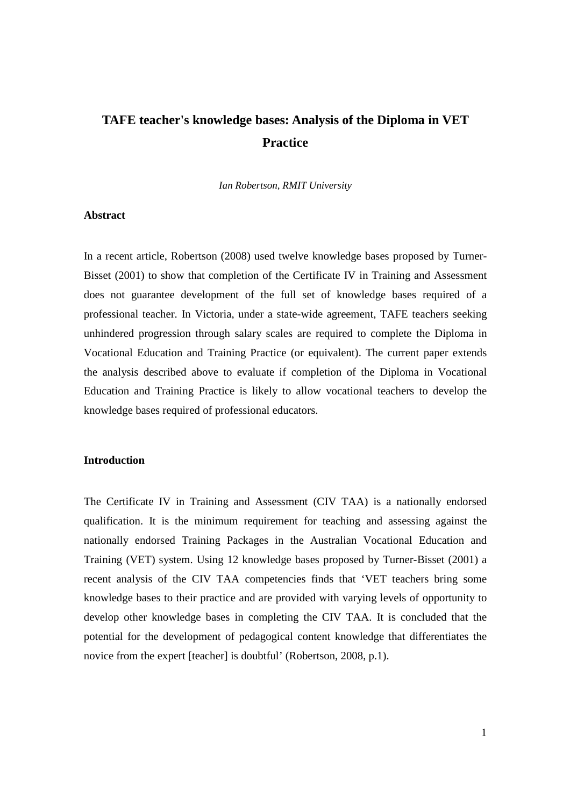# **TAFE teacher's knowledge bases: Analysis of the Diploma in VET Practice**

*Ian Robertson, RMIT University* 

## **Abstract**

In a recent article, Robertson (2008) used twelve knowledge bases proposed by Turner-Bisset (2001) to show that completion of the Certificate IV in Training and Assessment does not guarantee development of the full set of knowledge bases required of a professional teacher. In Victoria, under a state-wide agreement, TAFE teachers seeking unhindered progression through salary scales are required to complete the Diploma in Vocational Education and Training Practice (or equivalent). The current paper extends the analysis described above to evaluate if completion of the Diploma in Vocational Education and Training Practice is likely to allow vocational teachers to develop the knowledge bases required of professional educators.

# **Introduction**

The Certificate IV in Training and Assessment (CIV TAA) is a nationally endorsed qualification. It is the minimum requirement for teaching and assessing against the nationally endorsed Training Packages in the Australian Vocational Education and Training (VET) system. Using 12 knowledge bases proposed by Turner-Bisset (2001) a recent analysis of the CIV TAA competencies finds that 'VET teachers bring some knowledge bases to their practice and are provided with varying levels of opportunity to develop other knowledge bases in completing the CIV TAA. It is concluded that the potential for the development of pedagogical content knowledge that differentiates the novice from the expert [teacher] is doubtful' (Robertson, 2008, p.1).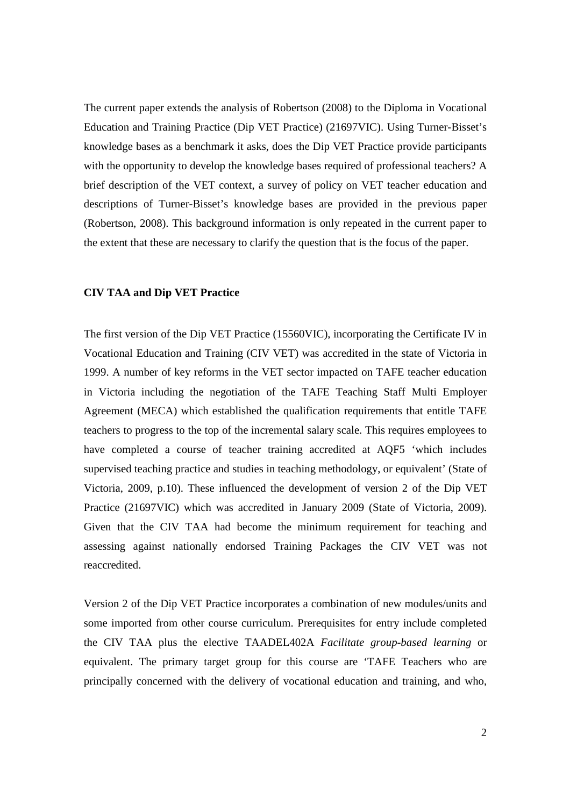The current paper extends the analysis of Robertson (2008) to the Diploma in Vocational Education and Training Practice (Dip VET Practice) (21697VIC). Using Turner-Bisset's knowledge bases as a benchmark it asks, does the Dip VET Practice provide participants with the opportunity to develop the knowledge bases required of professional teachers? A brief description of the VET context, a survey of policy on VET teacher education and descriptions of Turner-Bisset's knowledge bases are provided in the previous paper (Robertson, 2008). This background information is only repeated in the current paper to the extent that these are necessary to clarify the question that is the focus of the paper.

# **CIV TAA and Dip VET Practice**

The first version of the Dip VET Practice (15560VIC), incorporating the Certificate IV in Vocational Education and Training (CIV VET) was accredited in the state of Victoria in 1999. A number of key reforms in the VET sector impacted on TAFE teacher education in Victoria including the negotiation of the TAFE Teaching Staff Multi Employer Agreement (MECA) which established the qualification requirements that entitle TAFE teachers to progress to the top of the incremental salary scale. This requires employees to have completed a course of teacher training accredited at AQF5 'which includes supervised teaching practice and studies in teaching methodology, or equivalent' (State of Victoria, 2009, p.10). These influenced the development of version 2 of the Dip VET Practice (21697VIC) which was accredited in January 2009 (State of Victoria, 2009). Given that the CIV TAA had become the minimum requirement for teaching and assessing against nationally endorsed Training Packages the CIV VET was not reaccredited.

Version 2 of the Dip VET Practice incorporates a combination of new modules/units and some imported from other course curriculum. Prerequisites for entry include completed the CIV TAA plus the elective TAADEL402A *Facilitate group-based learning* or equivalent. The primary target group for this course are 'TAFE Teachers who are principally concerned with the delivery of vocational education and training, and who,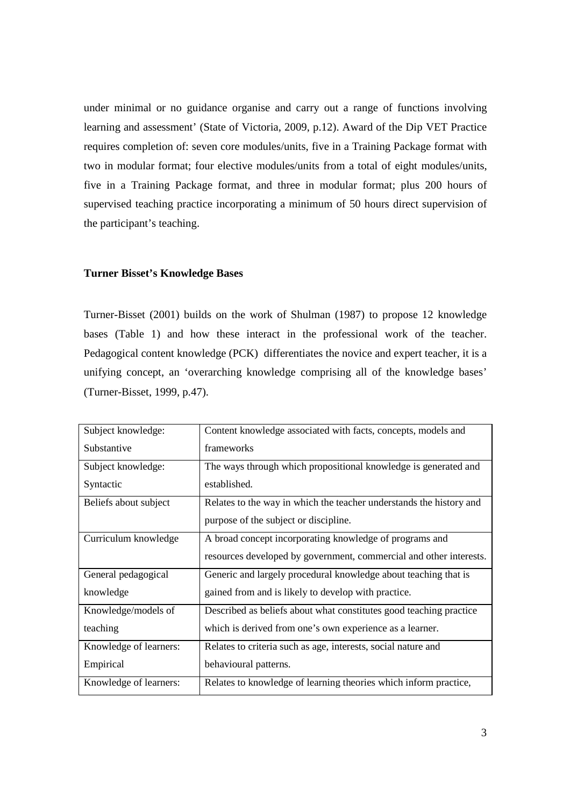under minimal or no guidance organise and carry out a range of functions involving learning and assessment' (State of Victoria, 2009, p.12). Award of the Dip VET Practice requires completion of: seven core modules/units, five in a Training Package format with two in modular format; four elective modules/units from a total of eight modules/units, five in a Training Package format, and three in modular format; plus 200 hours of supervised teaching practice incorporating a minimum of 50 hours direct supervision of the participant's teaching.

# **Turner Bisset's Knowledge Bases**

Turner-Bisset (2001) builds on the work of Shulman (1987) to propose 12 knowledge bases (Table 1) and how these interact in the professional work of the teacher. Pedagogical content knowledge (PCK) differentiates the novice and expert teacher, it is a unifying concept, an 'overarching knowledge comprising all of the knowledge bases' (Turner-Bisset, 1999, p.47).

| Subject knowledge:     | Content knowledge associated with facts, concepts, models and       |
|------------------------|---------------------------------------------------------------------|
| Substantive            | frameworks                                                          |
| Subject knowledge:     | The ways through which propositional knowledge is generated and     |
| Syntactic              | established.                                                        |
| Beliefs about subject  | Relates to the way in which the teacher understands the history and |
|                        | purpose of the subject or discipline.                               |
| Curriculum knowledge   | A broad concept incorporating knowledge of programs and             |
|                        | resources developed by government, commercial and other interests.  |
| General pedagogical    | Generic and largely procedural knowledge about teaching that is     |
| knowledge              | gained from and is likely to develop with practice.                 |
| Knowledge/models of    | Described as beliefs about what constitutes good teaching practice  |
| teaching               | which is derived from one's own experience as a learner.            |
| Knowledge of learners: | Relates to criteria such as age, interests, social nature and       |
| Empirical              | behavioural patterns.                                               |
| Knowledge of learners: | Relates to knowledge of learning theories which inform practice,    |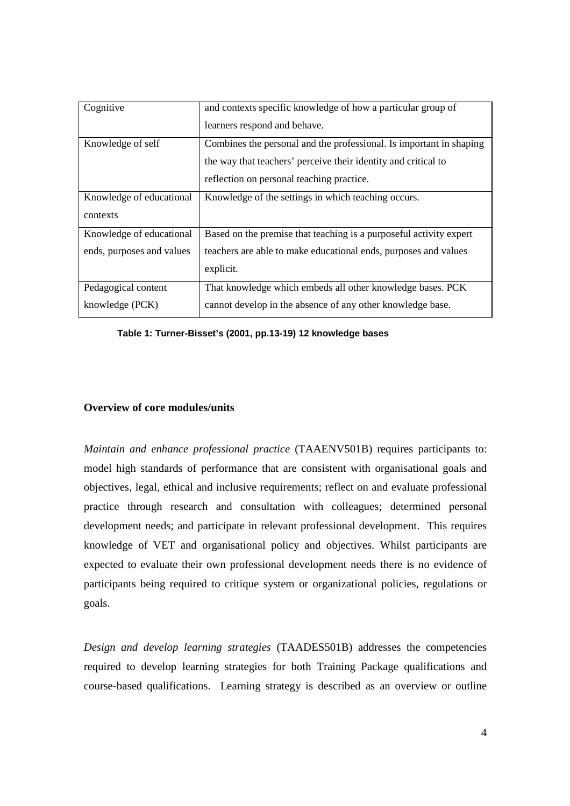| Cognitive                 | and contexts specific knowledge of how a particular group of        |
|---------------------------|---------------------------------------------------------------------|
|                           | learners respond and behave.                                        |
| Knowledge of self         | Combines the personal and the professional. Is important in shaping |
|                           | the way that teachers' perceive their identity and critical to      |
|                           | reflection on personal teaching practice.                           |
| Knowledge of educational  | Knowledge of the settings in which teaching occurs.                 |
| contexts                  |                                                                     |
| Knowledge of educational  | Based on the premise that teaching is a purposeful activity expert  |
| ends, purposes and values | teachers are able to make educational ends, purposes and values     |
|                           | explicit.                                                           |
| Pedagogical content       | That knowledge which embeds all other knowledge bases. PCK          |
| knowledge (PCK)           | cannot develop in the absence of any other knowledge base.          |

**Table 1: Turner-Bisset's (2001, pp.13-19) 12 knowledge bases** 

# **Overview of core modules/units**

*Maintain and enhance professional practice* (TAAENV501B) requires participants to: model high standards of performance that are consistent with organisational goals and objectives, legal, ethical and inclusive requirements; reflect on and evaluate professional practice through research and consultation with colleagues; determined personal development needs; and participate in relevant professional development. This requires knowledge of VET and organisational policy and objectives. Whilst participants are expected to evaluate their own professional development needs there is no evidence of participants being required to critique system or organizational policies, regulations or goals.

*Design and develop learning strategies* (TAADES501B) addresses the competencies required to develop learning strategies for both Training Package qualifications and course-based qualifications. Learning strategy is described as an overview or outline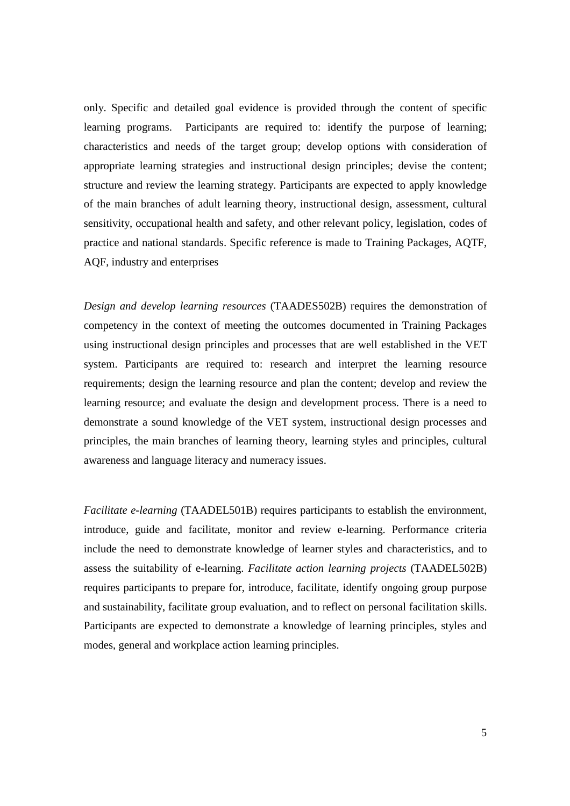only. Specific and detailed goal evidence is provided through the content of specific learning programs. Participants are required to: identify the purpose of learning; characteristics and needs of the target group; develop options with consideration of appropriate learning strategies and instructional design principles; devise the content; structure and review the learning strategy. Participants are expected to apply knowledge of the main branches of adult learning theory, instructional design, assessment, cultural sensitivity, occupational health and safety, and other relevant policy, legislation, codes of practice and national standards. Specific reference is made to Training Packages, AQTF, AQF, industry and enterprises

*Design and develop learning resources* (TAADES502B) requires the demonstration of competency in the context of meeting the outcomes documented in Training Packages using instructional design principles and processes that are well established in the VET system. Participants are required to: research and interpret the learning resource requirements; design the learning resource and plan the content; develop and review the learning resource; and evaluate the design and development process. There is a need to demonstrate a sound knowledge of the VET system, instructional design processes and principles, the main branches of learning theory, learning styles and principles, cultural awareness and language literacy and numeracy issues.

*Facilitate e-learning* (TAADEL501B) requires participants to establish the environment, introduce, guide and facilitate, monitor and review e-learning. Performance criteria include the need to demonstrate knowledge of learner styles and characteristics, and to assess the suitability of e-learning. *Facilitate action learning projects* (TAADEL502B) requires participants to prepare for, introduce, facilitate, identify ongoing group purpose and sustainability, facilitate group evaluation, and to reflect on personal facilitation skills. Participants are expected to demonstrate a knowledge of learning principles, styles and modes, general and workplace action learning principles.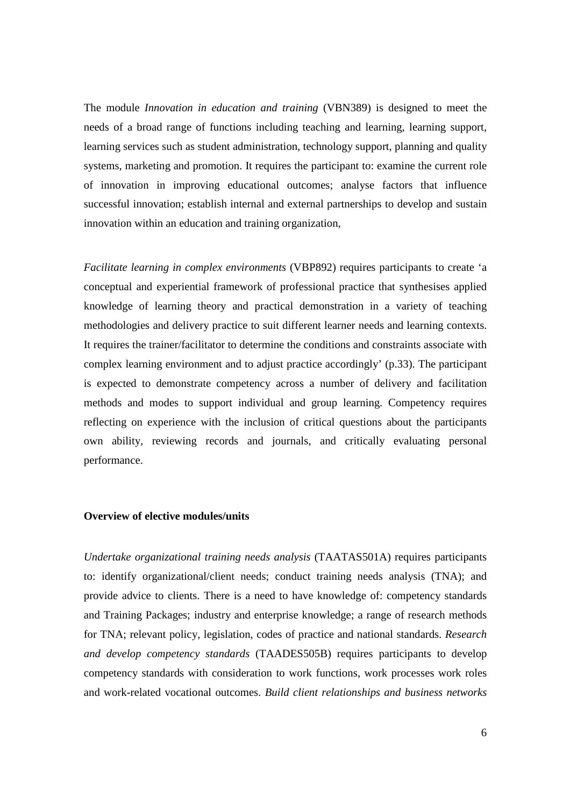The module *Innovation in education and training* (VBN389) is designed to meet the needs of a broad range of functions including teaching and learning, learning support, learning services such as student administration, technology support, planning and quality systems, marketing and promotion. It requires the participant to: examine the current role of innovation in improving educational outcomes; analyse factors that influence successful innovation; establish internal and external partnerships to develop and sustain innovation within an education and training organization,

*Facilitate learning in complex environments* (VBP892) requires participants to create 'a conceptual and experiential framework of professional practice that synthesises applied knowledge of learning theory and practical demonstration in a variety of teaching methodologies and delivery practice to suit different learner needs and learning contexts. It requires the trainer/facilitator to determine the conditions and constraints associate with complex learning environment and to adjust practice accordingly' (p.33). The participant is expected to demonstrate competency across a number of delivery and facilitation methods and modes to support individual and group learning. Competency requires reflecting on experience with the inclusion of critical questions about the participants own ability, reviewing records and journals, and critically evaluating personal performance.

## **Overview of elective modules/units**

*Undertake organizational training needs analysis* (TAATAS501A) requires participants to: identify organizational/client needs; conduct training needs analysis (TNA); and provide advice to clients. There is a need to have knowledge of: competency standards and Training Packages; industry and enterprise knowledge; a range of research methods for TNA; relevant policy, legislation, codes of practice and national standards. *Research and develop competency standards* (TAADES505B) requires participants to develop competency standards with consideration to work functions, work processes work roles and work-related vocational outcomes. *Build client relationships and business networks*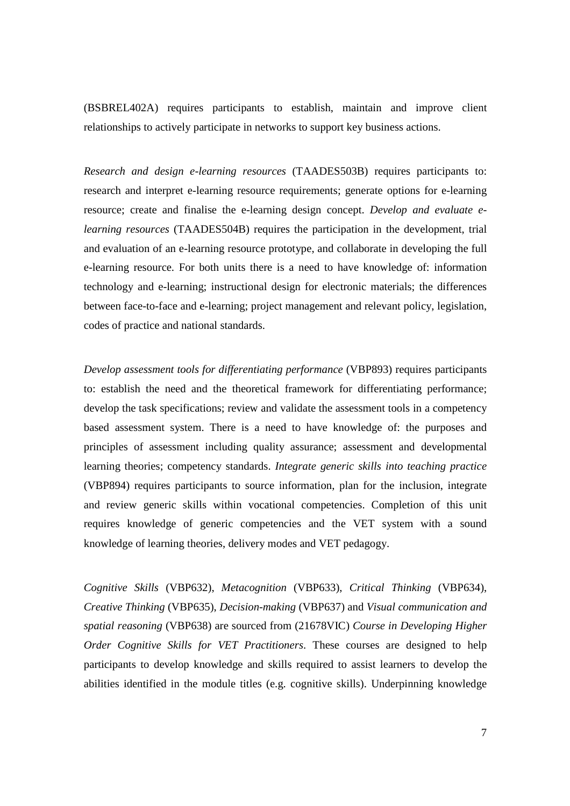(BSBREL402A) requires participants to establish, maintain and improve client relationships to actively participate in networks to support key business actions.

*Research and design e-learning resources* (TAADES503B) requires participants to: research and interpret e-learning resource requirements; generate options for e-learning resource; create and finalise the e-learning design concept. *Develop and evaluate elearning resources* (TAADES504B) requires the participation in the development, trial and evaluation of an e-learning resource prototype, and collaborate in developing the full e-learning resource. For both units there is a need to have knowledge of: information technology and e-learning; instructional design for electronic materials; the differences between face-to-face and e-learning; project management and relevant policy, legislation, codes of practice and national standards.

*Develop assessment tools for differentiating performance* (VBP893) requires participants to: establish the need and the theoretical framework for differentiating performance; develop the task specifications; review and validate the assessment tools in a competency based assessment system. There is a need to have knowledge of: the purposes and principles of assessment including quality assurance; assessment and developmental learning theories; competency standards. *Integrate generic skills into teaching practice* (VBP894) requires participants to source information, plan for the inclusion, integrate and review generic skills within vocational competencies. Completion of this unit requires knowledge of generic competencies and the VET system with a sound knowledge of learning theories, delivery modes and VET pedagogy.

*Cognitive Skills* (VBP632), *Metacognition* (VBP633), *Critical Thinking* (VBP634), *Creative Thinking* (VBP635), *Decision-making* (VBP637) and *Visual communication and spatial reasoning* (VBP638) are sourced from (21678VIC) *Course in Developing Higher Order Cognitive Skills for VET Practitioners*. These courses are designed to help participants to develop knowledge and skills required to assist learners to develop the abilities identified in the module titles (e.g. cognitive skills). Underpinning knowledge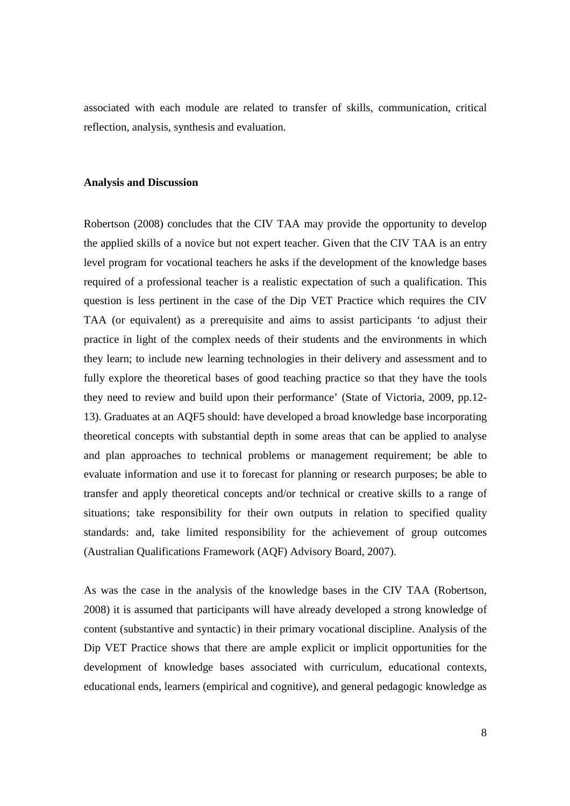associated with each module are related to transfer of skills, communication, critical reflection, analysis, synthesis and evaluation.

## **Analysis and Discussion**

Robertson (2008) concludes that the CIV TAA may provide the opportunity to develop the applied skills of a novice but not expert teacher. Given that the CIV TAA is an entry level program for vocational teachers he asks if the development of the knowledge bases required of a professional teacher is a realistic expectation of such a qualification. This question is less pertinent in the case of the Dip VET Practice which requires the CIV TAA (or equivalent) as a prerequisite and aims to assist participants 'to adjust their practice in light of the complex needs of their students and the environments in which they learn; to include new learning technologies in their delivery and assessment and to fully explore the theoretical bases of good teaching practice so that they have the tools they need to review and build upon their performance' (State of Victoria, 2009, pp.12- 13). Graduates at an AQF5 should: have developed a broad knowledge base incorporating theoretical concepts with substantial depth in some areas that can be applied to analyse and plan approaches to technical problems or management requirement; be able to evaluate information and use it to forecast for planning or research purposes; be able to transfer and apply theoretical concepts and/or technical or creative skills to a range of situations; take responsibility for their own outputs in relation to specified quality standards: and, take limited responsibility for the achievement of group outcomes (Australian Qualifications Framework (AQF) Advisory Board, 2007).

As was the case in the analysis of the knowledge bases in the CIV TAA (Robertson, 2008) it is assumed that participants will have already developed a strong knowledge of content (substantive and syntactic) in their primary vocational discipline. Analysis of the Dip VET Practice shows that there are ample explicit or implicit opportunities for the development of knowledge bases associated with curriculum, educational contexts, educational ends, learners (empirical and cognitive), and general pedagogic knowledge as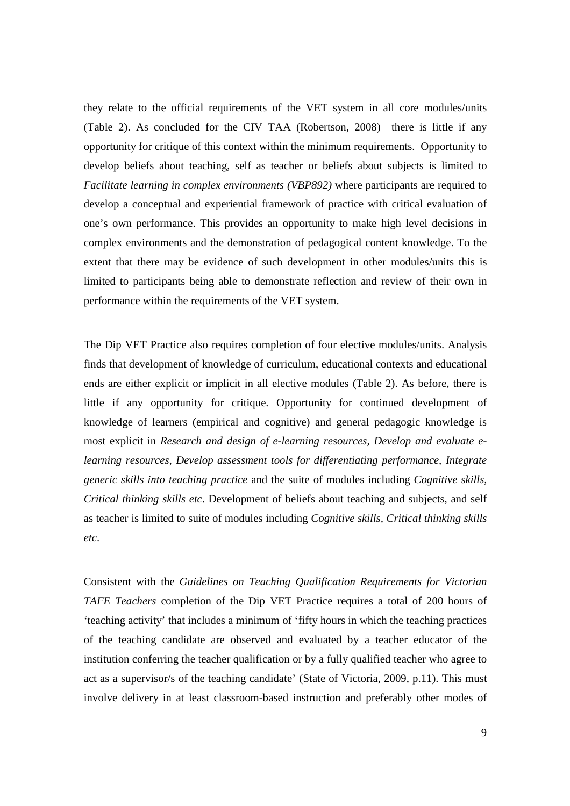they relate to the official requirements of the VET system in all core modules/units (Table 2). As concluded for the CIV TAA (Robertson, 2008) there is little if any opportunity for critique of this context within the minimum requirements. Opportunity to develop beliefs about teaching, self as teacher or beliefs about subjects is limited to *Facilitate learning in complex environments (VBP892)* where participants are required to develop a conceptual and experiential framework of practice with critical evaluation of one's own performance. This provides an opportunity to make high level decisions in complex environments and the demonstration of pedagogical content knowledge. To the extent that there may be evidence of such development in other modules/units this is limited to participants being able to demonstrate reflection and review of their own in performance within the requirements of the VET system.

The Dip VET Practice also requires completion of four elective modules/units. Analysis finds that development of knowledge of curriculum, educational contexts and educational ends are either explicit or implicit in all elective modules (Table 2). As before, there is little if any opportunity for critique. Opportunity for continued development of knowledge of learners (empirical and cognitive) and general pedagogic knowledge is most explicit in *Research and design of e-learning resources, Develop and evaluate elearning resources, Develop assessment tools for differentiating performance, Integrate generic skills into teaching practice* and the suite of modules including *Cognitive skills, Critical thinking skills etc*. Development of beliefs about teaching and subjects, and self as teacher is limited to suite of modules including *Cognitive skills, Critical thinking skills etc*.

Consistent with the *Guidelines on Teaching Qualification Requirements for Victorian TAFE Teachers* completion of the Dip VET Practice requires a total of 200 hours of 'teaching activity' that includes a minimum of 'fifty hours in which the teaching practices of the teaching candidate are observed and evaluated by a teacher educator of the institution conferring the teacher qualification or by a fully qualified teacher who agree to act as a supervisor/s of the teaching candidate' (State of Victoria, 2009, p.11). This must involve delivery in at least classroom-based instruction and preferably other modes of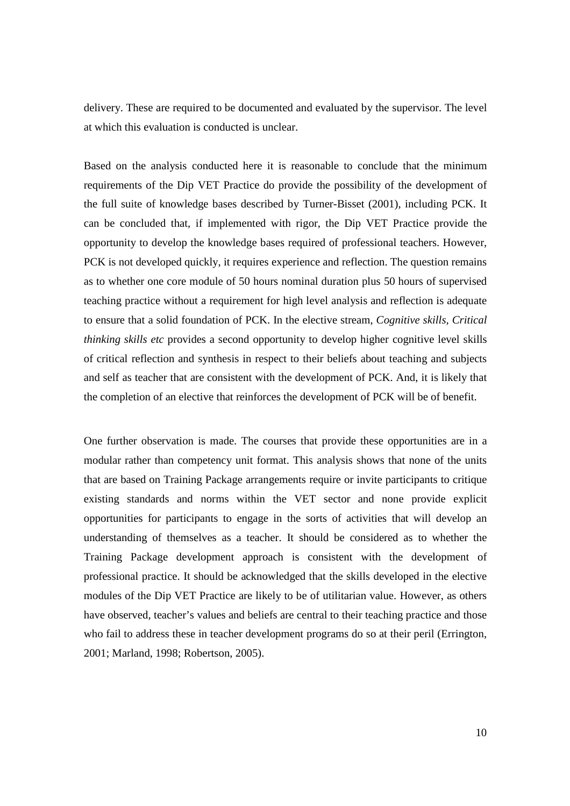delivery. These are required to be documented and evaluated by the supervisor. The level at which this evaluation is conducted is unclear.

Based on the analysis conducted here it is reasonable to conclude that the minimum requirements of the Dip VET Practice do provide the possibility of the development of the full suite of knowledge bases described by Turner-Bisset (2001), including PCK. It can be concluded that, if implemented with rigor, the Dip VET Practice provide the opportunity to develop the knowledge bases required of professional teachers. However, PCK is not developed quickly, it requires experience and reflection. The question remains as to whether one core module of 50 hours nominal duration plus 50 hours of supervised teaching practice without a requirement for high level analysis and reflection is adequate to ensure that a solid foundation of PCK. In the elective stream, *Cognitive skills, Critical thinking skills etc* provides a second opportunity to develop higher cognitive level skills of critical reflection and synthesis in respect to their beliefs about teaching and subjects and self as teacher that are consistent with the development of PCK. And, it is likely that the completion of an elective that reinforces the development of PCK will be of benefit.

One further observation is made. The courses that provide these opportunities are in a modular rather than competency unit format. This analysis shows that none of the units that are based on Training Package arrangements require or invite participants to critique existing standards and norms within the VET sector and none provide explicit opportunities for participants to engage in the sorts of activities that will develop an understanding of themselves as a teacher. It should be considered as to whether the Training Package development approach is consistent with the development of professional practice. It should be acknowledged that the skills developed in the elective modules of the Dip VET Practice are likely to be of utilitarian value. However, as others have observed, teacher's values and beliefs are central to their teaching practice and those who fail to address these in teacher development programs do so at their peril (Errington, 2001; Marland, 1998; Robertson, 2005).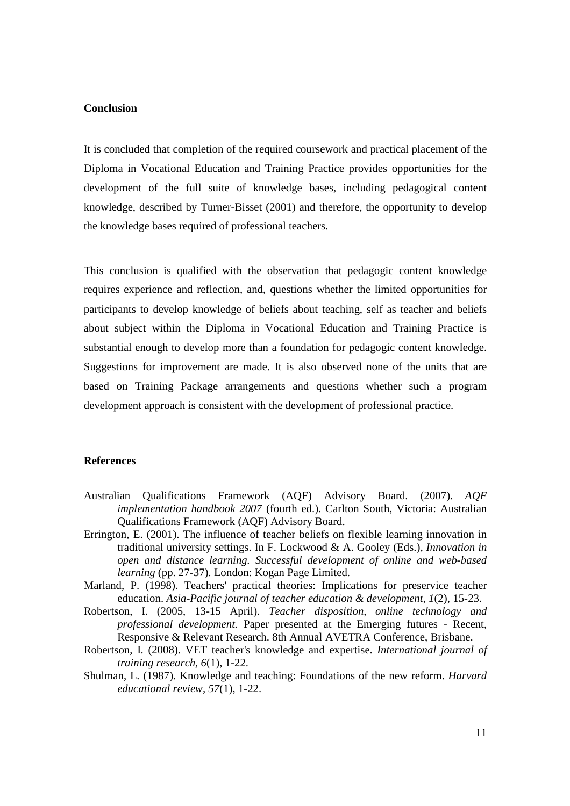# **Conclusion**

It is concluded that completion of the required coursework and practical placement of the Diploma in Vocational Education and Training Practice provides opportunities for the development of the full suite of knowledge bases, including pedagogical content knowledge, described by Turner-Bisset (2001) and therefore, the opportunity to develop the knowledge bases required of professional teachers.

This conclusion is qualified with the observation that pedagogic content knowledge requires experience and reflection, and, questions whether the limited opportunities for participants to develop knowledge of beliefs about teaching, self as teacher and beliefs about subject within the Diploma in Vocational Education and Training Practice is substantial enough to develop more than a foundation for pedagogic content knowledge. Suggestions for improvement are made. It is also observed none of the units that are based on Training Package arrangements and questions whether such a program development approach is consistent with the development of professional practice.

# **References**

- Australian Qualifications Framework (AQF) Advisory Board. (2007). *AQF implementation handbook 2007* (fourth ed.). Carlton South, Victoria: Australian Qualifications Framework (AQF) Advisory Board.
- Errington, E. (2001). The influence of teacher beliefs on flexible learning innovation in traditional university settings. In F. Lockwood & A. Gooley (Eds.), *Innovation in open and distance learning. Successful development of online and web-based learning* (pp. 27-37). London: Kogan Page Limited.
- Marland, P. (1998). Teachers' practical theories: Implications for preservice teacher education. *Asia-Pacific journal of teacher education & development, 1*(2), 15-23.
- Robertson, I. (2005, 13-15 April). *Teacher disposition, online technology and professional development.* Paper presented at the Emerging futures - Recent, Responsive & Relevant Research. 8th Annual AVETRA Conference, Brisbane.
- Robertson, I. (2008). VET teacher's knowledge and expertise. *International journal of training research, 6*(1), 1-22.
- Shulman, L. (1987). Knowledge and teaching: Foundations of the new reform. *Harvard educational review, 57*(1), 1-22.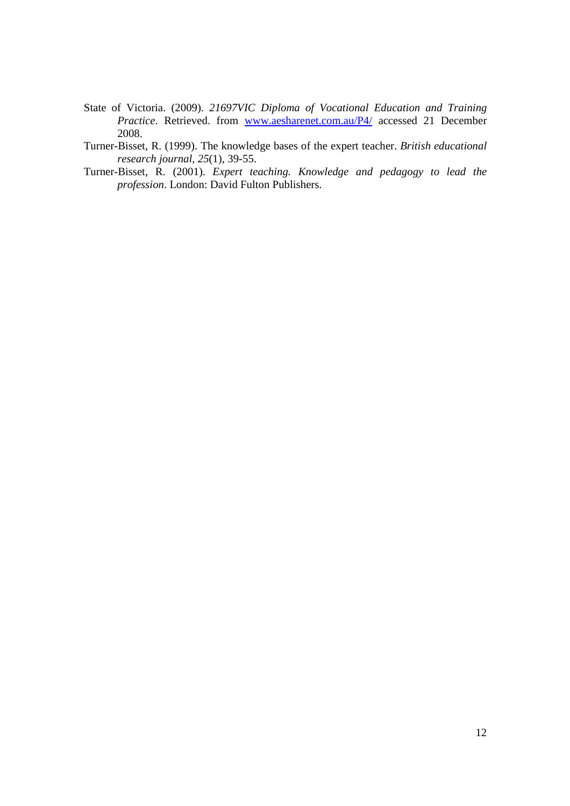- State of Victoria. (2009). *21697VIC Diploma of Vocational Education and Training Practice*. Retrieved. from www.aesharenet.com.au/P4/ accessed 21 December 2008.
- Turner-Bisset, R. (1999). The knowledge bases of the expert teacher. *British educational research journal, 25*(1), 39-55.
- Turner-Bisset, R. (2001). *Expert teaching. Knowledge and pedagogy to lead the profession*. London: David Fulton Publishers.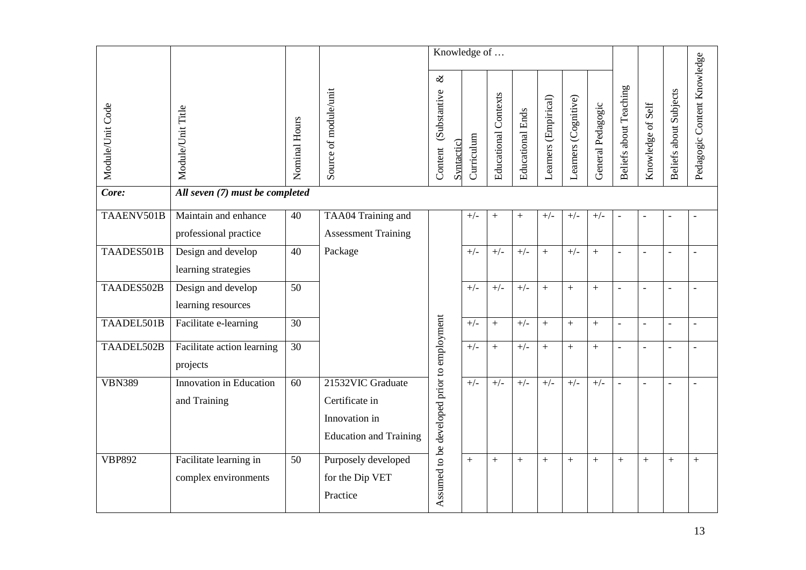|                  | Knowledge of                    |                 |                               |                                             |            |            |                             |                         |                      |                      |                   |                          |                          |                               |                             |
|------------------|---------------------------------|-----------------|-------------------------------|---------------------------------------------|------------|------------|-----------------------------|-------------------------|----------------------|----------------------|-------------------|--------------------------|--------------------------|-------------------------------|-----------------------------|
| Module/Unit Code | Module/Unit Title               | Nominal Hours   | Source of module/unit         | $\infty$<br>(Substantive<br>Content         | Syntactic) | Curriculum | <b>Educational Contexts</b> | <b>Educational Ends</b> | Learners (Empirical) | Learners (Cognitive) | General Pedagogic | Beliefs about Teaching   | Knowledge of Self        | <b>Beliefs about Subjects</b> | Pedagogic Content Knowledge |
| Core:            | All seven (7) must be completed |                 |                               |                                             |            |            |                             |                         |                      |                      |                   |                          |                          |                               |                             |
| TAAENV501B       | Maintain and enhance            | 40              | TAA04 Training and            |                                             |            | $+/-$      | $+$                         | $\boldsymbol{+}$        | $+/-$                | $+/-$                | $+/-$             | $\overline{\phantom{0}}$ |                          |                               |                             |
|                  | professional practice           |                 | <b>Assessment Training</b>    |                                             |            |            |                             |                         |                      |                      |                   |                          |                          |                               |                             |
| TAADES501B       | Design and develop              | 40              | Package                       |                                             |            | $+/-$      | $+/-$                       | $+/-$                   | $+$                  | $+/-$                | $^{+}$            |                          | $\overline{a}$           | $\overline{a}$                | $\overline{a}$              |
|                  | learning strategies             |                 |                               |                                             |            |            |                             |                         |                      |                      |                   |                          |                          |                               |                             |
| TAADES502B       | Design and develop              | $\overline{50}$ |                               |                                             |            | $+/-$      | $+/-$                       | $+/-$                   | $+$                  | $+$                  | $+$               |                          |                          |                               |                             |
|                  | learning resources              |                 |                               |                                             |            |            |                             |                         |                      |                      |                   |                          |                          |                               |                             |
| TAADEL501B       | Facilitate e-learning           | 30              |                               | Assumed to be developed prior to employment |            | $+/-$      |                             | $+/-$                   | $\ddot{}$            | $+$                  | $^{+}$            | $\sim$                   | $\overline{\phantom{a}}$ | $\overline{a}$                | $\blacksquare$              |
| TAADEL502B       | Facilitate action learning      | $\overline{30}$ |                               |                                             |            | $+/-$      |                             | $+/-$                   | $+$                  | $+$                  | $+$               | $\overline{\phantom{a}}$ | $\overline{\phantom{a}}$ | $\overline{a}$                | $\overline{\phantom{a}}$    |
|                  | projects                        |                 |                               |                                             |            |            |                             |                         |                      |                      |                   |                          |                          |                               |                             |
| <b>VBN389</b>    | Innovation in Education         | 60              | 21532VIC Graduate             |                                             |            | $+/-$      | $+/-$                       | $+/-$                   | $+/-$                | $+/-$                | $+/-$             | $\overline{a}$           | $\overline{a}$           | $\overline{\phantom{a}}$      | $\blacksquare$              |
|                  | and Training                    |                 | Certificate in                |                                             |            |            |                             |                         |                      |                      |                   |                          |                          |                               |                             |
|                  |                                 |                 | Innovation in                 |                                             |            |            |                             |                         |                      |                      |                   |                          |                          |                               |                             |
|                  |                                 |                 | <b>Education and Training</b> |                                             |            |            |                             |                         |                      |                      |                   |                          |                          |                               |                             |
| <b>VBP892</b>    | Facilitate learning in          | 50              | Purposely developed           |                                             |            | $+$        | $\boldsymbol{+}$            | $\boldsymbol{+}$        | $+$                  | $+$                  | $^{+}$            |                          | $+$                      |                               | $^{+}$                      |
|                  | complex environments            |                 | for the Dip VET               |                                             |            |            |                             |                         |                      |                      |                   |                          |                          |                               |                             |
|                  |                                 |                 | Practice                      |                                             |            |            |                             |                         |                      |                      |                   |                          |                          |                               |                             |